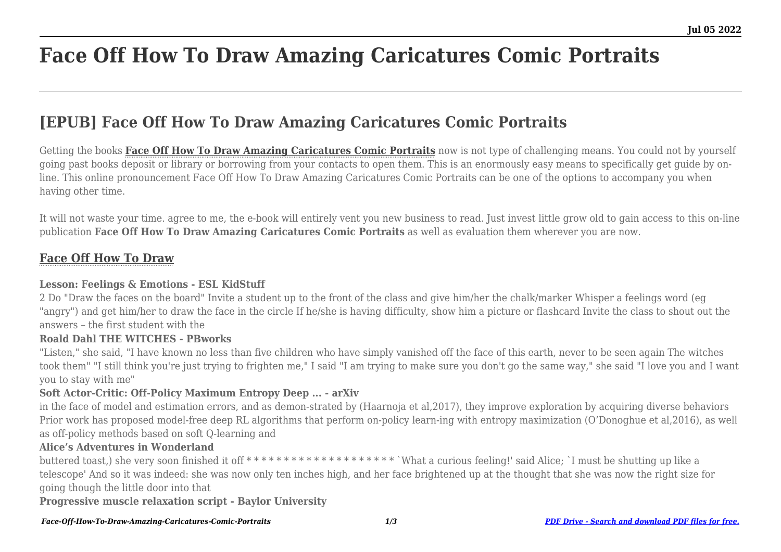# **Face Off How To Draw Amazing Caricatures Comic Portraits**

## **[EPUB] Face Off How To Draw Amazing Caricatures Comic Portraits**

Getting the books **[Face Off How To Draw Amazing Caricatures Comic Portraits](http://jessicaberan.com)** now is not type of challenging means. You could not by yourself going past books deposit or library or borrowing from your contacts to open them. This is an enormously easy means to specifically get guide by online. This online pronouncement Face Off How To Draw Amazing Caricatures Comic Portraits can be one of the options to accompany you when having other time.

It will not waste your time. agree to me, the e-book will entirely vent you new business to read. Just invest little grow old to gain access to this on-line publication **Face Off How To Draw Amazing Caricatures Comic Portraits** as well as evaluation them wherever you are now.

### **[Face Off How To Draw](http://jessicaberan.com/Face-Off-How-To-Draw-Amazing-Caricatures-Comic-Portraits.pdf)**

#### **Lesson: Feelings & Emotions - ESL KidStuff**

2 Do "Draw the faces on the board" Invite a student up to the front of the class and give him/her the chalk/marker Whisper a feelings word (eg "angry") and get him/her to draw the face in the circle If he/she is having difficulty, show him a picture or flashcard Invite the class to shout out the answers – the first student with the

#### **Roald Dahl THE WITCHES - PBworks**

"Listen," she said, "I have known no less than five children who have simply vanished off the face of this earth, never to be seen again The witches took them" "I still think you're just trying to frighten me," I said "I am trying to make sure you don't go the same way," she said "I love you and I want you to stay with me"

#### **Soft Actor-Critic: Off-Policy Maximum Entropy Deep ... - arXiv**

in the face of model and estimation errors, and as demon-strated by (Haarnoja et al,2017), they improve exploration by acquiring diverse behaviors Prior work has proposed model-free deep RL algorithms that perform on-policy learn-ing with entropy maximization (O'Donoghue et al,2016), as well as off-policy methods based on soft Q-learning and

#### **Alice's Adventures in Wonderland**

buttered toast,) she very soon finished it off \* \* \* \* \* \* \* \* \* \* \* \* \* \* \* \* \* \* \* \* `What a curious feeling!' said Alice; `I must be shutting up like a telescope' And so it was indeed: she was now only ten inches high, and her face brightened up at the thought that she was now the right size for going though the little door into that

**Progressive muscle relaxation script - Baylor University**

#### *Face-Off-How-To-Draw-Amazing-Caricatures-Comic-Portraits 1/3 [PDF Drive - Search and download PDF files for free.](http://jessicaberan.com/)*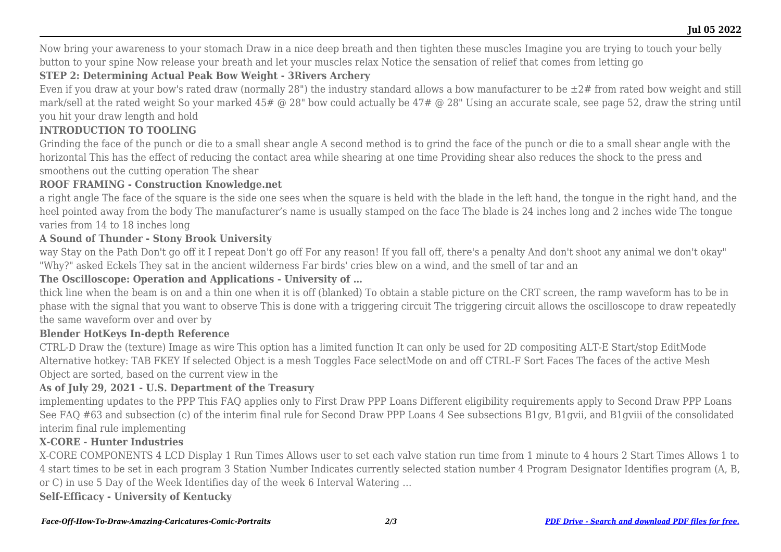Now bring your awareness to your stomach Draw in a nice deep breath and then tighten these muscles Imagine you are trying to touch your belly button to your spine Now release your breath and let your muscles relax Notice the sensation of relief that comes from letting go

### **STEP 2: Determining Actual Peak Bow Weight - 3Rivers Archery**

Even if you draw at your bow's rated draw (normally 28") the industry standard allows a bow manufacturer to be  $\pm 2$ # from rated bow weight and still mark/sell at the rated weight So your marked 45# @ 28" bow could actually be 47# @ 28" Using an accurate scale, see page 52, draw the string until you hit your draw length and hold

#### **INTRODUCTION TO TOOLING**

Grinding the face of the punch or die to a small shear angle A second method is to grind the face of the punch or die to a small shear angle with the horizontal This has the effect of reducing the contact area while shearing at one time Providing shear also reduces the shock to the press and smoothens out the cutting operation The shear

#### **ROOF FRAMING - Construction Knowledge.net**

a right angle The face of the square is the side one sees when the square is held with the blade in the left hand, the tongue in the right hand, and the heel pointed away from the body The manufacturer's name is usually stamped on the face The blade is 24 inches long and 2 inches wide The tongue varies from 14 to 18 inches long

#### **A Sound of Thunder - Stony Brook University**

way Stay on the Path Don't go off it I repeat Don't go off For any reason! If you fall off, there's a penalty And don't shoot any animal we don't okay" "Why?" asked Eckels They sat in the ancient wilderness Far birds' cries blew on a wind, and the smell of tar and an

#### **The Oscilloscope: Operation and Applications - University of …**

thick line when the beam is on and a thin one when it is off (blanked) To obtain a stable picture on the CRT screen, the ramp waveform has to be in phase with the signal that you want to observe This is done with a triggering circuit The triggering circuit allows the oscilloscope to draw repeatedly the same waveform over and over by

#### **Blender HotKeys In-depth Reference**

CTRL-D Draw the (texture) Image as wire This option has a limited function It can only be used for 2D compositing ALT-E Start/stop EditMode Alternative hotkey: TAB FKEY If selected Object is a mesh Toggles Face selectMode on and off CTRL-F Sort Faces The faces of the active Mesh Object are sorted, based on the current view in the

#### **As of July 29, 2021 - U.S. Department of the Treasury**

implementing updates to the PPP This FAQ applies only to First Draw PPP Loans Different eligibility requirements apply to Second Draw PPP Loans See FAQ #63 and subsection (c) of the interim final rule for Second Draw PPP Loans 4 See subsections B1gv, B1gvii, and B1gviii of the consolidated interim final rule implementing

#### **X-CORE - Hunter Industries**

X-CORE COMPONENTS 4 LCD Display 1 Run Times Allows user to set each valve station run time from 1 minute to 4 hours 2 Start Times Allows 1 to 4 start times to be set in each program 3 Station Number Indicates currently selected station number 4 Program Designator Identifies program (A, B, or C) in use 5 Day of the Week Identifies day of the week 6 Interval Watering …

**Self-Efficacy - University of Kentucky**